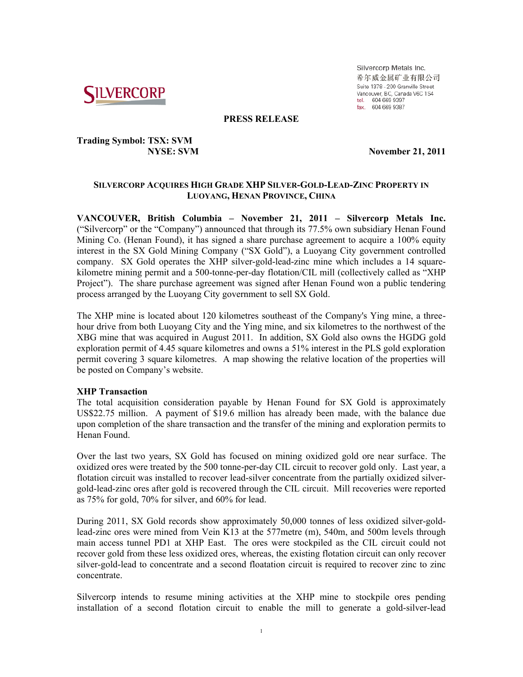

Silvercorp Metals Inc. 希尔威金属矿业有限公司 Suite 1378 - 200 Granville Street Vancouver, BC, Canada V6C 1S4 tel. 604 669 9397<br>fax. 604 669 9397

### **PRESS RELEASE**

# **Trading Symbol: TSX: SVM**

 **NYSE:** SVM **November 21, 2011** 

# **SILVERCORP ACQUIRES HIGH GRADE XHP SILVER-GOLD-LEAD-ZINC PROPERTY IN LUOYANG, HENAN PROVINCE, CHINA**

**VANCOUVER, British Columbia – November 21, 2011 – Silvercorp Metals Inc.**  ("Silvercorp" or the "Company") announced that through its 77.5% own subsidiary Henan Found Mining Co. (Henan Found), it has signed a share purchase agreement to acquire a 100% equity interest in the SX Gold Mining Company ("SX Gold"), a Luoyang City government controlled company. SX Gold operates the XHP silver-gold-lead-zinc mine which includes a 14 squarekilometre mining permit and a 500-tonne-per-day flotation/CIL mill (collectively called as "XHP Project"). The share purchase agreement was signed after Henan Found won a public tendering process arranged by the Luoyang City government to sell SX Gold.

The XHP mine is located about 120 kilometres southeast of the Company's Ying mine, a threehour drive from both Luoyang City and the Ying mine, and six kilometres to the northwest of the XBG mine that was acquired in August 2011. In addition, SX Gold also owns the HGDG gold exploration permit of 4.45 square kilometres and owns a 51% interest in the PLS gold exploration permit covering 3 square kilometres. A map showing the relative location of the properties will be posted on Company's website.

# **XHP Transaction**

The total acquisition consideration payable by Henan Found for SX Gold is approximately US\$22.75 million. A payment of \$19.6 million has already been made, with the balance due upon completion of the share transaction and the transfer of the mining and exploration permits to Henan Found.

Over the last two years, SX Gold has focused on mining oxidized gold ore near surface. The oxidized ores were treated by the 500 tonne-per-day CIL circuit to recover gold only. Last year, a flotation circuit was installed to recover lead-silver concentrate from the partially oxidized silvergold-lead-zinc ores after gold is recovered through the CIL circuit. Mill recoveries were reported as 75% for gold, 70% for silver, and 60% for lead.

During 2011, SX Gold records show approximately 50,000 tonnes of less oxidized silver-goldlead-zinc ores were mined from Vein K13 at the 577metre (m), 540m, and 500m levels through main access tunnel PD1 at XHP East. The ores were stockpiled as the CIL circuit could not recover gold from these less oxidized ores, whereas, the existing flotation circuit can only recover silver-gold-lead to concentrate and a second floatation circuit is required to recover zinc to zinc concentrate.

Silvercorp intends to resume mining activities at the XHP mine to stockpile ores pending installation of a second flotation circuit to enable the mill to generate a gold-silver-lead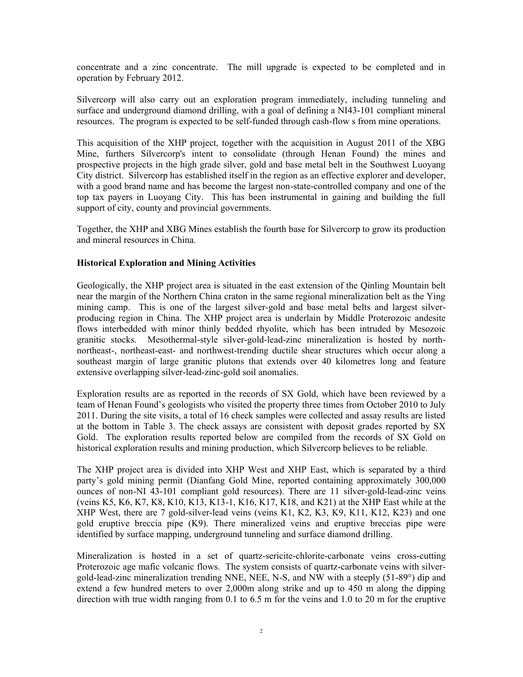concentrate and a zinc concentrate. The mill upgrade is expected to be completed and in operation by February 2012.

Silvercorp will also carry out an exploration program immediately, including tunneling and surface and underground diamond drilling, with a goal of defining a NI43-101 compliant mineral resources. The program is expected to be self-funded through cash-flow s from mine operations.

This acquisition of the XHP project, together with the acquisition in August 2011 of the XBG Mine, furthers Silvercorp's intent to consolidate (through Henan Found) the mines and prospective projects in the high grade silver, gold and base metal belt in the Southwest Luoyang City district. Silvercorp has established itself in the region as an effective explorer and developer, with a good brand name and has become the largest non-state-controlled company and one of the top tax payers in Luoyang City. This has been instrumental in gaining and building the full support of city, county and provincial governments.

Together, the XHP and XBG Mines establish the fourth base for Silvercorp to grow its production and mineral resources in China.

# **Historical Exploration and Mining Activities**

Geologically, the XHP project area is situated in the east extension of the Qinling Mountain belt near the margin of the Northern China craton in the same regional mineralization belt as the Ying mining camp. This is one of the largest silver-gold and base metal belts and largest silverproducing region in China. The XHP project area is underlain by Middle Proterozoic andesite flows interbedded with minor thinly bedded rhyolite, which has been intruded by Mesozoic granitic stocks. Mesothermal-style silver-gold-lead-zinc mineralization is hosted by northnortheast-, northeast-east- and northwest-trending ductile shear structures which occur along a southeast margin of large granitic plutons that extends over 40 kilometres long and feature extensive overlapping silver-lead-zinc-gold soil anomalies.

Exploration results are as reported in the records of SX Gold, which have been reviewed by a team of Henan Found's geologists who visited the property three times from October 2010 to July 2011. During the site visits, a total of 16 check samples were collected and assay results are listed at the bottom in Table 3. The check assays are consistent with deposit grades reported by SX Gold. The exploration results reported below are compiled from the records of SX Gold on historical exploration results and mining production, which Silvercorp believes to be reliable.

The XHP project area is divided into XHP West and XHP East, which is separated by a third party's gold mining permit (Dianfang Gold Mine, reported containing approximately 300,000 ounces of non-NI 43-101 compliant gold resources). There are 11 silver-gold-lead-zinc veins (veins K5, K6, K7, K8, K10, K13, K13-1, K16, K17, K18, and K21) at the XHP East while at the XHP West, there are 7 gold-silver-lead veins (veins K1, K2, K3, K9, K11, K12, K23) and one gold eruptive breccia pipe (K9). There mineralized veins and eruptive breccias pipe were identified by surface mapping, underground tunneling and surface diamond drilling.

Mineralization is hosted in a set of quartz-sericite-chlorite-carbonate veins cross-cutting Proterozoic age mafic volcanic flows. The system consists of quartz-carbonate veins with silvergold-lead-zinc mineralization trending NNE, NEE, N-S, and NW with a steeply (51-89°) dip and extend a few hundred meters to over 2,000m along strike and up to 450 m along the dipping direction with true width ranging from 0.1 to 6.5 m for the veins and 1.0 to 20 m for the eruptive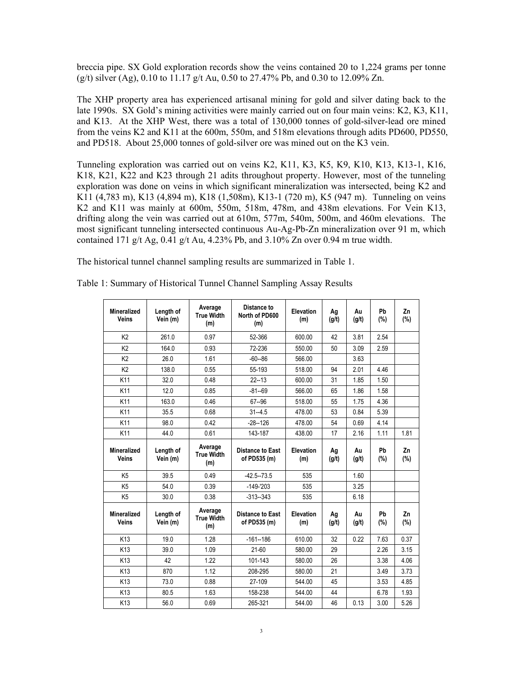breccia pipe. SX Gold exploration records show the veins contained 20 to 1,224 grams per tonne (g/t) silver (Ag), 0.10 to 11.17 g/t Au, 0.50 to 27.47% Pb, and 0.30 to 12.09% Zn.

The XHP property area has experienced artisanal mining for gold and silver dating back to the late 1990s. SX Gold's mining activities were mainly carried out on four main veins: K2, K3, K11, and K13. At the XHP West, there was a total of 130,000 tonnes of gold-silver-lead ore mined from the veins K2 and K11 at the 600m, 550m, and 518m elevations through adits PD600, PD550, and PD518. About 25,000 tonnes of gold-silver ore was mined out on the K3 vein.

Tunneling exploration was carried out on veins K2, K11, K3, K5, K9, K10, K13, K13-1, K16, K18, K21, K22 and K23 through 21 adits throughout property. However, most of the tunneling exploration was done on veins in which significant mineralization was intersected, being K2 and K11 (4,783 m), K13 (4,894 m), K18 (1,508m), K13-1 (720 m), K5 (947 m). Tunneling on veins K2 and K11 was mainly at 600m, 550m, 518m, 478m, and 438m elevations. For Vein K13, drifting along the vein was carried out at 610m, 577m, 540m, 500m, and 460m elevations. The most significant tunneling intersected continuous Au-Ag-Pb-Zn mineralization over 91 m, which contained 171 g/t Ag, 0.41 g/t Au, 4.23% Pb, and 3.10% Zn over 0.94 m true width.

The historical tunnel channel sampling results are summarized in Table 1.

| <b>Mineralized</b><br><b>Veins</b> | Length of<br>Vein (m) | Average<br><b>True Width</b><br>(m) | Distance to<br>North of PD600<br>(m)    | Elevation<br>(m)        | Ag<br>(g/t) | Au<br>(g/t) | Pb<br>(%)    | Zn<br>(%) |
|------------------------------------|-----------------------|-------------------------------------|-----------------------------------------|-------------------------|-------------|-------------|--------------|-----------|
| K <sub>2</sub>                     | 261.0                 | 0.97                                | 52-366                                  | 600.00                  | 42          | 3.81        | 2.54         |           |
| K <sub>2</sub>                     | 164.0                 | 0.93                                | 72-236                                  | 550.00                  | 50          | 3.09        | 2.59         |           |
| K <sub>2</sub>                     | 26.0                  | 1.61                                | $-60 - 86$                              | 566.00                  |             | 3.63        |              |           |
| K <sub>2</sub>                     | 138.0                 | 0.55                                | 55-193                                  | 518.00                  | 94          | 2.01        | 4.46         |           |
| K11                                | 32.0                  | 0.48                                | $22 - 13$                               | 600.00                  | 31          | 1.85        | 1.50         |           |
| K11                                | 12.0                  | 0.85                                | $-81 - 69$                              | 566.00                  | 65          | 1.86        | 1.58         |           |
| K11                                | 163.0                 | 0.46                                | 67--96                                  | 518.00                  | 55          | 1.75        | 4.36         |           |
| K11                                | 35.5                  | 0.68                                | $31 - 4.5$                              | 478.00                  | 53          | 0.84        | 5.39         |           |
| K11                                | 98.0                  | 0.42                                | $-28 - 126$                             | 478.00                  | 54          | 0.69        | 4.14         |           |
| K11                                | 44.0                  | 0.61                                | 143-187                                 | 438.00                  | 17          | 2.16        | 1.11         | 1.81      |
| <b>Mineralized</b><br><b>Veins</b> | Length of<br>Vein (m) | Average<br><b>True Width</b><br>(m) | <b>Distance to East</b><br>of PD535 (m) | <b>Elevation</b><br>(m) | Ag<br>(g/t) | Au<br>(q/t) | Pb<br>$(\%)$ | Zn<br>(%) |
| K <sub>5</sub>                     | 39.5                  | 0.49                                | $-42.5 - 73.5$                          | 535                     |             | 1.60        |              |           |
| K <sub>5</sub>                     | 54.0                  | 0.39                                | $-149-203$                              | 535                     |             | 3.25        |              |           |
| K <sub>5</sub>                     | 30.0                  | 0.38                                | $-313-343$                              | 535                     |             | 6.18        |              |           |
| <b>Mineralized</b><br><b>Veins</b> | Length of<br>Vein (m) | Average<br><b>True Width</b><br>(m) | <b>Distance to East</b><br>of PD535 (m) | <b>Elevation</b><br>(m) | Ag<br>(g/t) | Au<br>(q/t) | Pb<br>(%)    | Zn<br>(%) |
| K <sub>13</sub>                    | 19.0                  | 1.28                                | $-161 - 186$                            | 610.00                  | 32          | 0.22        | 7.63         | 0.37      |
| K <sub>13</sub>                    | 39.0                  | 1.09                                | $21-60$                                 | 580.00                  | 29          |             | 2.26         | 3.15      |
| K <sub>13</sub>                    | 42                    | 1.22                                | 101-143                                 | 580.00                  | 26          |             | 3.38         | 4.06      |
| K <sub>13</sub>                    | 870                   | 1.12                                | 208-295                                 | 580.00                  | 21          |             | 3.49         | 3.73      |
| K <sub>13</sub>                    | 73.0                  | 0.88                                | 27-109                                  | 544.00                  | 45          |             | 3.53         | 4.85      |
| K <sub>13</sub>                    | 80.5                  | 1.63                                | 158-238                                 | 544.00                  | 44          |             | 6.78         | 1.93      |
| K <sub>13</sub>                    | 56.0                  | 0.69                                | 265-321                                 | 544.00                  | 46          | 0.13        | 3.00         | 5.26      |

Table 1: Summary of Historical Tunnel Channel Sampling Assay Results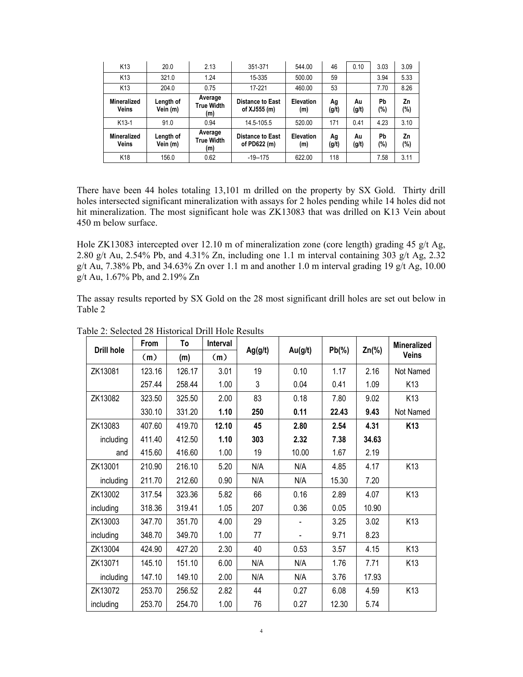| K <sub>13</sub>             | 20.0                  | 2.13                                | 351-371                                 | 544.00                  | 46          | 0.10        | 3.03         | 3.09      |
|-----------------------------|-----------------------|-------------------------------------|-----------------------------------------|-------------------------|-------------|-------------|--------------|-----------|
| K <sub>13</sub>             | 321.0                 | 1.24                                | 15-335                                  | 500.00                  | 59          |             | 3.94         | 5.33      |
| K <sub>13</sub>             | 204.0                 | 0.75                                | 17-221                                  | 460.00                  | 53          |             | 7.70         | 8.26      |
| Mineralized<br><b>Veins</b> | Length of<br>Vein (m) | Average<br><b>True Width</b><br>(m) | <b>Distance to East</b><br>of XJ555 (m) | <b>Elevation</b><br>(m) | Ag<br>(g/t) | Au<br>(g/t) | Pb<br>$(\%)$ | Zn<br>(%) |
| $K13-1$                     | 91.0                  | 0.94                                | 14.5-105.5                              | 520.00                  | 171         | 0.41        | 4.23         | 3.10      |
| Mineralized<br><b>Veins</b> | Length of<br>Vein (m) | Average<br><b>True Width</b><br>(m) | <b>Distance to East</b><br>of PD622 (m) | <b>Elevation</b><br>(m) | Ag<br>(g/t) | Au<br>(g/t) | Pb<br>$(\%)$ | Zn<br>(%) |
| K <sub>18</sub>             | 156.0                 | 0.62                                | $-19 - 175$                             | 622.00                  | 118         |             | 7.58         | 3.11      |

There have been 44 holes totaling 13,101 m drilled on the property by SX Gold. Thirty drill holes intersected significant mineralization with assays for 2 holes pending while 14 holes did not hit mineralization. The most significant hole was ZK13083 that was drilled on K13 Vein about 450 m below surface.

Hole ZK13083 intercepted over 12.10 m of mineralization zone (core length) grading 45 g/t Ag, 2.80 g/t Au, 2.54% Pb, and 4.31% Zn, including one 1.1 m interval containing 303 g/t Ag,  $2.32$ g/t Au, 7.38% Pb, and 34.63% Zn over 1.1 m and another 1.0 m interval grading 19 g/t Ag, 10.00 g/t Au, 1.67% Pb, and 2.19% Zn

The assay results reported by SX Gold on the 28 most significant drill holes are set out below in Table 2

| Drill hole | <b>From</b> | To     | Interval | Ag(g/t) |         | $Pb(\%)$ | $Zn(\%)$ | <b>Mineralized</b> |
|------------|-------------|--------|----------|---------|---------|----------|----------|--------------------|
|            | (m)         | (m)    | (m)      |         | Au(g/t) |          |          | <b>Veins</b>       |
| ZK13081    | 123.16      | 126.17 | 3.01     | 19      | 0.10    | 1.17     | 2.16     | Not Named          |
|            | 257.44      | 258.44 | 1.00     | 3       | 0.04    | 0.41     | 1.09     | K <sub>13</sub>    |
| ZK13082    | 323.50      | 325.50 | 2.00     | 83      | 0.18    | 7.80     | 9.02     | K <sub>13</sub>    |
|            | 330.10      | 331.20 | 1.10     | 250     | 0.11    | 22.43    | 9.43     | Not Named          |
| ZK13083    | 407.60      | 419.70 | 12.10    | 45      | 2.80    | 2.54     | 4.31     | K <sub>13</sub>    |
| including  | 411.40      | 412.50 | 1.10     | 303     | 2.32    | 7.38     | 34.63    |                    |
| and        | 415.60      | 416.60 | 1.00     | 19      | 10.00   | 1.67     | 2.19     |                    |
| ZK13001    | 210.90      | 216.10 | 5.20     | N/A     | N/A     | 4.85     | 4.17     | K13                |
| including  | 211.70      | 212.60 | 0.90     | N/A     | N/A     | 15.30    | 7.20     |                    |
| ZK13002    | 317.54      | 323.36 | 5.82     | 66      | 0.16    | 2.89     | 4.07     | K13                |
| including  | 318.36      | 319.41 | 1.05     | 207     | 0.36    | 0.05     | 10.90    |                    |
| ZK13003    | 347.70      | 351.70 | 4.00     | 29      |         | 3.25     | 3.02     | K13                |
| including  | 348.70      | 349.70 | 1.00     | 77      |         | 9.71     | 8.23     |                    |
| ZK13004    | 424.90      | 427.20 | 2.30     | 40      | 0.53    | 3.57     | 4.15     | K <sub>13</sub>    |
| ZK13071    | 145.10      | 151.10 | 6.00     | N/A     | N/A     | 1.76     | 7.71     | K13                |
| including  | 147.10      | 149.10 | 2.00     | N/A     | N/A     | 3.76     | 17.93    |                    |
| ZK13072    | 253.70      | 256.52 | 2.82     | 44      | 0.27    | 6.08     | 4.59     | K13                |
| including  | 253.70      | 254.70 | 1.00     | 76      | 0.27    | 12.30    | 5.74     |                    |

Table 2: Selected 28 Historical Drill Hole Results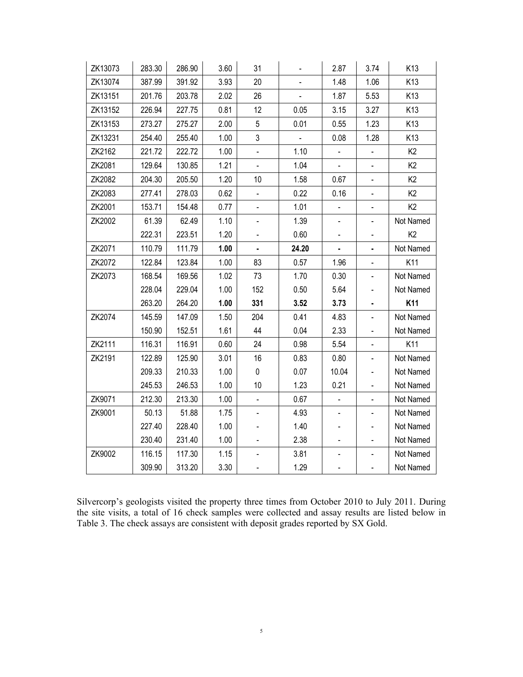| ZK13073 | 283.30 | 286.90 | 3.60 | 31                           |       | 2.87           | 3.74                         | K13            |
|---------|--------|--------|------|------------------------------|-------|----------------|------------------------------|----------------|
| ZK13074 | 387.99 | 391.92 | 3.93 | 20                           |       | 1.48           | 1.06                         | K13            |
| ZK13151 | 201.76 | 203.78 | 2.02 | 26                           |       | 1.87           | 5.53                         | K13            |
| ZK13152 | 226.94 | 227.75 | 0.81 | 12                           | 0.05  | 3.15           | 3.27                         | K13            |
| ZK13153 | 273.27 | 275.27 | 2.00 | 5                            | 0.01  | 0.55           | 1.23                         | K13            |
| ZK13231 | 254.40 | 255.40 | 1.00 | 3                            |       | 0.08           | 1.28                         | K13            |
| ZK2162  | 221.72 | 222.72 | 1.00 | $\overline{\phantom{0}}$     | 1.10  | ÷              | ÷                            | K <sub>2</sub> |
| ZK2081  | 129.64 | 130.85 | 1.21 |                              | 1.04  |                |                              | K <sub>2</sub> |
| ZK2082  | 204.30 | 205.50 | 1.20 | 10                           | 1.58  | 0.67           | $\qquad \qquad \blacksquare$ | K <sub>2</sub> |
| ZK2083  | 277.41 | 278.03 | 0.62 | $\blacksquare$               | 0.22  | 0.16           | $\frac{1}{2}$                | K <sub>2</sub> |
| ZK2001  | 153.71 | 154.48 | 0.77 | $\qquad \qquad \blacksquare$ | 1.01  | $\blacksquare$ | $\overline{\phantom{0}}$     | K <sub>2</sub> |
| ZK2002  | 61.39  | 62.49  | 1.10 |                              | 1.39  |                | $\overline{\phantom{0}}$     | Not Named      |
|         | 222.31 | 223.51 | 1.20 |                              | 0.60  | -              | -                            | K <sub>2</sub> |
| ZK2071  | 110.79 | 111.79 | 1.00 |                              | 24.20 |                |                              | Not Named      |
| ZK2072  | 122.84 | 123.84 | 1.00 | 83                           | 0.57  | 1.96           | $\qquad \qquad \blacksquare$ | K11            |
| ZK2073  | 168.54 | 169.56 | 1.02 | 73                           | 1.70  | 0.30           | $\overline{\phantom{0}}$     | Not Named      |
|         | 228.04 | 229.04 | 1.00 | 152                          | 0.50  | 5.64           | -                            | Not Named      |
|         | 263.20 | 264.20 | 1.00 | 331                          | 3.52  | 3.73           | ۰                            | K11            |
| ZK2074  | 145.59 | 147.09 | 1.50 | 204                          | 0.41  | 4.83           | $\frac{1}{2}$                | Not Named      |
|         | 150.90 | 152.51 | 1.61 | 44                           | 0.04  | 2.33           | L,                           | Not Named      |
| ZK2111  | 116.31 | 116.91 | 0.60 | 24                           | 0.98  | 5.54           | $\blacksquare$               | K11            |
| ZK2191  | 122.89 | 125.90 | 3.01 | 16                           | 0.83  | 0.80           | $\overline{\phantom{0}}$     | Not Named      |
|         | 209.33 | 210.33 | 1.00 | $\pmb{0}$                    | 0.07  | 10.04          | -                            | Not Named      |
|         | 245.53 | 246.53 | 1.00 | 10                           | 1.23  | 0.21           | $\overline{\phantom{0}}$     | Not Named      |
| ZK9071  | 212.30 | 213.30 | 1.00 | $\qquad \qquad \blacksquare$ | 0.67  | -              | -                            | Not Named      |
| ZK9001  | 50.13  | 51.88  | 1.75 | $\blacksquare$               | 4.93  |                | $\blacksquare$               | Not Named      |
|         | 227.40 | 228.40 | 1.00 |                              | 1.40  |                | $\overline{\phantom{0}}$     | Not Named      |
|         | 230.40 | 231.40 | 1.00 |                              | 2.38  |                | ÷,                           | Not Named      |
| ZK9002  | 116.15 | 117.30 | 1.15 |                              | 3.81  |                | $\overline{\phantom{0}}$     | Not Named      |
|         | 309.90 | 313.20 | 3.30 |                              | 1.29  | $\overline{a}$ | $\blacksquare$               | Not Named      |

Silvercorp's geologists visited the property three times from October 2010 to July 2011. During the site visits, a total of 16 check samples were collected and assay results are listed below in Table 3. The check assays are consistent with deposit grades reported by SX Gold.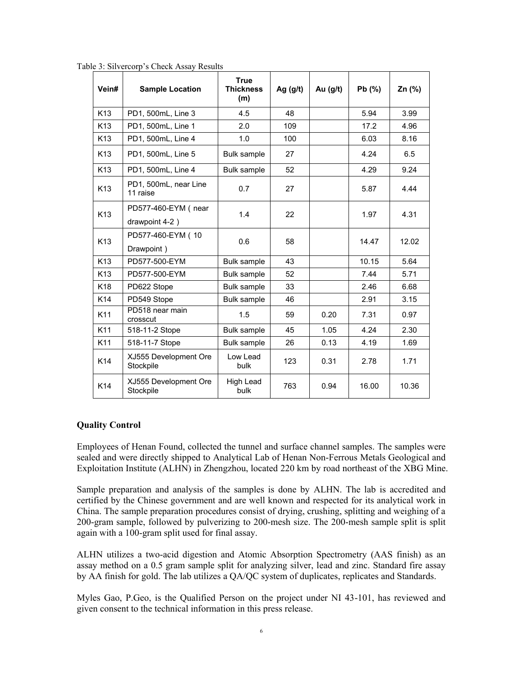| Vein#           | <b>Sample Location</b>                | <b>True</b><br><b>Thickness</b><br>(m) | Ag $(g/t)$ | Au $(g/t)$ | Pb(%) | Zn (%) |
|-----------------|---------------------------------------|----------------------------------------|------------|------------|-------|--------|
| K <sub>13</sub> | PD1, 500mL, Line 3                    | 4.5                                    | 48         |            | 5.94  | 3.99   |
| K <sub>13</sub> | PD1, 500mL, Line 1                    | 2.0                                    | 109        |            | 17.2  | 4.96   |
| K <sub>13</sub> | PD1, 500mL, Line 4                    | 1.0                                    | 100        |            | 6.03  | 8.16   |
| K <sub>13</sub> | PD1, 500mL, Line 5                    | Bulk sample                            | 27         |            | 4.24  | 6.5    |
| K13             | PD1, 500mL, Line 4                    | Bulk sample                            | 52         |            | 4.29  | 9.24   |
| K <sub>13</sub> | PD1, 500mL, near Line<br>11 raise     | 0.7                                    | 27         |            | 5.87  | 4.44   |
| K <sub>13</sub> | PD577-460-EYM (near<br>drawpoint 4-2) | 1.4                                    | 22         |            | 1.97  | 4.31   |
| K <sub>13</sub> | PD577-460-EYM (10<br>Drawpoint)       | 0.6                                    | 58         |            | 14.47 | 12.02  |
| K <sub>13</sub> | PD577-500-EYM                         | Bulk sample                            | 43         |            | 10.15 | 5.64   |
| K <sub>13</sub> | PD577-500-EYM                         | <b>Bulk sample</b>                     | 52         |            | 7.44  | 5.71   |
| K <sub>18</sub> | PD622 Stope                           | Bulk sample                            | 33         |            | 2.46  | 6.68   |
| K14             | PD549 Stope                           | Bulk sample                            | 46         |            | 2.91  | 3.15   |
| K11             | PD518 near main<br>crosscut           | 1.5                                    | 59         | 0.20       | 7.31  | 0.97   |
| K11             | 518-11-2 Stope                        | Bulk sample                            | 45         | 1.05       | 4.24  | 2.30   |
| K11             | 518-11-7 Stope                        | Bulk sample                            | 26         | 0.13       | 4.19  | 1.69   |
| K14             | XJ555 Development Ore<br>Stockpile    | Low Lead<br>bulk                       | 123        | 0.31       | 2.78  | 1.71   |
| K14             | XJ555 Development Ore<br>Stockpile    | High Lead<br>bulk                      | 763        | 0.94       | 16.00 | 10.36  |

Table 3: Silvercorp's Check Assay Results

### **Quality Control**

Employees of Henan Found, collected the tunnel and surface channel samples. The samples were sealed and were directly shipped to Analytical Lab of Henan Non-Ferrous Metals Geological and Exploitation Institute (ALHN) in Zhengzhou, located 220 km by road northeast of the XBG Mine.

Sample preparation and analysis of the samples is done by ALHN. The lab is accredited and certified by the Chinese government and are well known and respected for its analytical work in China. The sample preparation procedures consist of drying, crushing, splitting and weighing of a 200-gram sample, followed by pulverizing to 200-mesh size. The 200-mesh sample split is split again with a 100-gram split used for final assay.

ALHN utilizes a two-acid digestion and Atomic Absorption Spectrometry (AAS finish) as an assay method on a 0.5 gram sample split for analyzing silver, lead and zinc. Standard fire assay by AA finish for gold. The lab utilizes a QA/QC system of duplicates, replicates and Standards.

Myles Gao, P.Geo, is the Qualified Person on the project under NI 43-101, has reviewed and given consent to the technical information in this press release.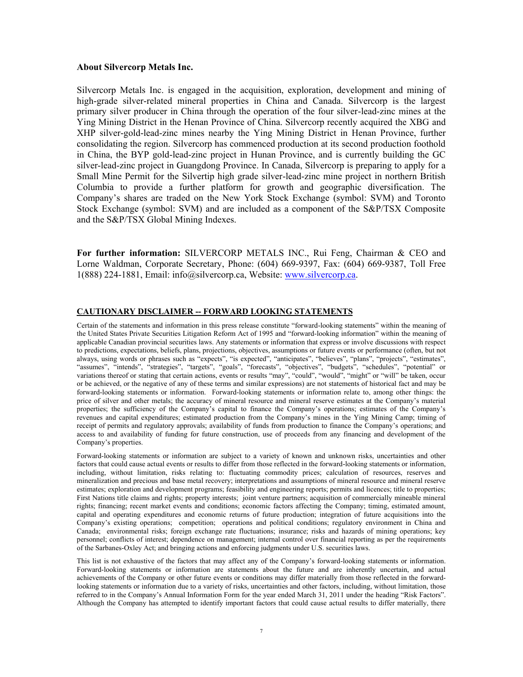#### **About Silvercorp Metals Inc.**

Silvercorp Metals Inc. is engaged in the acquisition, exploration, development and mining of high-grade silver-related mineral properties in China and Canada. Silvercorp is the largest primary silver producer in China through the operation of the four silver-lead-zinc mines at the Ying Mining District in the Henan Province of China. Silvercorp recently acquired the XBG and XHP silver-gold-lead-zinc mines nearby the Ying Mining District in Henan Province, further consolidating the region. Silvercorp has commenced production at its second production foothold in China, the BYP gold-lead-zinc project in Hunan Province, and is currently building the GC silver-lead-zinc project in Guangdong Province. In Canada, Silvercorp is preparing to apply for a Small Mine Permit for the Silvertip high grade silver-lead-zinc mine project in northern British Columbia to provide a further platform for growth and geographic diversification. The Company's shares are traded on the New York Stock Exchange (symbol: SVM) and Toronto Stock Exchange (symbol: SVM) and are included as a component of the S&P/TSX Composite and the S&P/TSX Global Mining Indexes.

**For further information:** SILVERCORP METALS INC., Rui Feng, Chairman & CEO and Lorne Waldman, Corporate Secretary, Phone: (604) 669-9397, Fax: (604) 669-9387, Toll Free 1(888) 224-1881, Email: info@silvercorp.ca, Website: [www.silvercorp.ca.](http://www.silvercorp.ca/)

#### **CAUTIONARY DISCLAIMER -- FORWARD LOOKING STATEMENTS**

Certain of the statements and information in this press release constitute "forward-looking statements" within the meaning of the United States Private Securities Litigation Reform Act of 1995 and "forward-looking information" within the meaning of applicable Canadian provincial securities laws. Any statements or information that express or involve discussions with respect to predictions, expectations, beliefs, plans, projections, objectives, assumptions or future events or performance (often, but not always, using words or phrases such as "expects", "is expected", "anticipates", "believes", "plans", "projects", "estimates", "assumes", "intends", "strategies", "targets", "goals", "forecasts", "objectives", "budgets", "schedules", "potential" or variations thereof or stating that certain actions, events or results "may", "could", "would", "might" or "will" be taken, occur or be achieved, or the negative of any of these terms and similar expressions) are not statements of historical fact and may be forward-looking statements or information. Forward-looking statements or information relate to, among other things: the price of silver and other metals; the accuracy of mineral resource and mineral reserve estimates at the Company's material properties; the sufficiency of the Company's capital to finance the Company's operations; estimates of the Company's revenues and capital expenditures; estimated production from the Company's mines in the Ying Mining Camp; timing of receipt of permits and regulatory approvals; availability of funds from production to finance the Company's operations; and access to and availability of funding for future construction, use of proceeds from any financing and development of the Company's properties.

Forward-looking statements or information are subject to a variety of known and unknown risks, uncertainties and other factors that could cause actual events or results to differ from those reflected in the forward-looking statements or information, including, without limitation, risks relating to: fluctuating commodity prices; calculation of resources, reserves and mineralization and precious and base metal recovery; interpretations and assumptions of mineral resource and mineral reserve estimates; exploration and development programs; feasibility and engineering reports; permits and licences; title to properties; First Nations title claims and rights; property interests; joint venture partners; acquisition of commercially mineable mineral rights; financing; recent market events and conditions; economic factors affecting the Company; timing, estimated amount, capital and operating expenditures and economic returns of future production; integration of future acquisitions into the Company's existing operations; competition; operations and political conditions; regulatory environment in China and Canada; environmental risks; foreign exchange rate fluctuations; insurance; risks and hazards of mining operations; key personnel; conflicts of interest; dependence on management; internal control over financial reporting as per the requirements of the Sarbanes-Oxley Act; and bringing actions and enforcing judgments under U.S. securities laws.

This list is not exhaustive of the factors that may affect any of the Company's forward-looking statements or information. Forward-looking statements or information are statements about the future and are inherently uncertain, and actual achievements of the Company or other future events or conditions may differ materially from those reflected in the forwardlooking statements or information due to a variety of risks, uncertainties and other factors, including, without limitation, those referred to in the Company's Annual Information Form for the year ended March 31, 2011 under the heading "Risk Factors". Although the Company has attempted to identify important factors that could cause actual results to differ materially, there